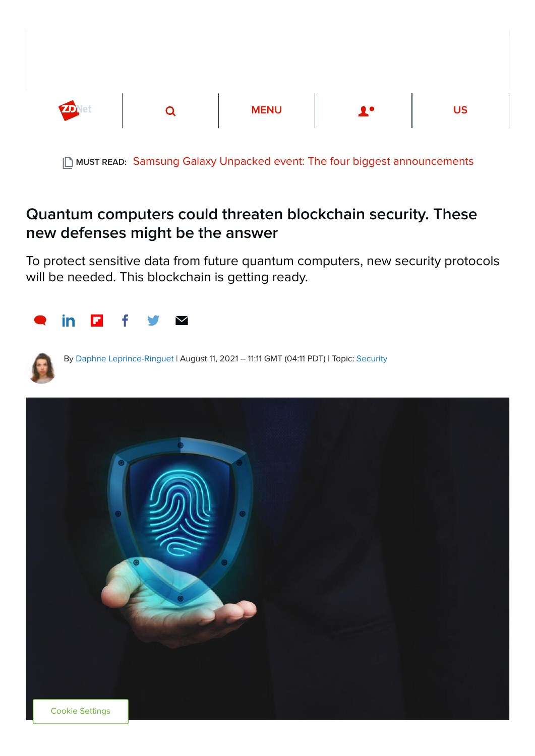

**| ∆ MUST READ: [Samsung Galaxy Unpacked event: The four biggest announcements](https://www.zdnet.com/article/samsung-galaxy-unpacked-event-biggest-announcements/)** 

# Quantum computers could threaten blockchain security. These new defenses might be the answer

To protect sensitive data from future quantum computers, new security protocols will be needed. This blockchain is getting ready.





By [Daphne Leprince-Ringuet](https://www.zdnet.com/meet-the-team/uk/daphne+leprince-ringuet/) | August 11, 2021 -- 11:11 GMT (04:11 PDT) | Topic: [Security](https://www.zdnet.com/topic/security/)

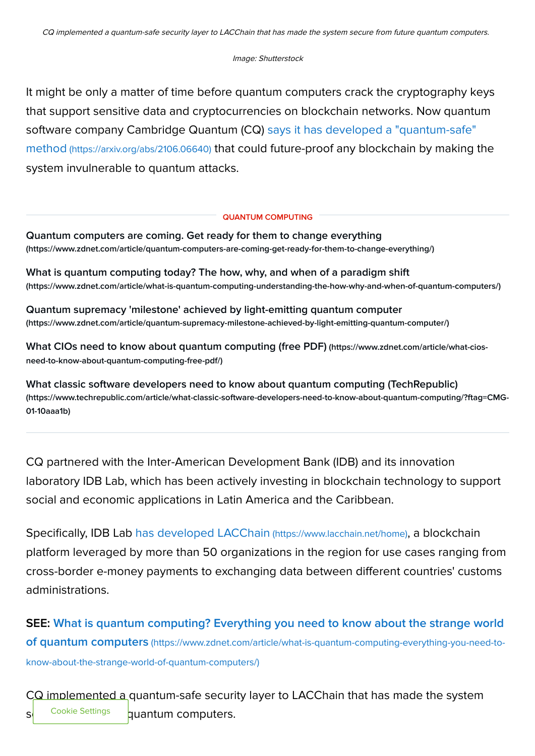## Image: Shutterstock

It might be only a matter of time before quantum computers crack the cryptography keys that support sensitive data and cryptocurrencies on blockchain networks. Now quantum [software company Cambridge Quantum \(CQ\) says it has developed a "quantum-safe"](https://arxiv.org/abs/2106.06640) method (https://arxiv.org/abs/2106.06640) that could future-proof any blockchain by making the system invulnerable to quantum attacks.

# QUANTUM COMPUTING

[Quantum computers are coming. Get ready for them to change everything](https://www.zdnet.com/article/quantum-computers-are-coming-get-ready-for-them-to-change-everything/) (https://www.zdnet.com/article/quantum-computers-are-coming-get-ready-for-them-to-change-everything/)

[What is quantum computing today? The how, why, and when of a paradigm shift](https://www.zdnet.com/article/what-is-quantum-computing-understanding-the-how-why-and-when-of-quantum-computers/) (https://www.zdnet.com/article/what-is-quantum-computing-understanding-the-how-why-and-when-of-quantum-computers/)

[Quantum supremacy 'milestone' achieved by light-emitting quantum computer](https://www.zdnet.com/article/quantum-supremacy-milestone-achieved-by-light-emitting-quantum-computer/) (https://www.zdnet.com/article/quantum-supremacy-milestone-achieved-by-light-emitting-quantum-computer/)

[What CIOs need to know about quantum computing \(free PDF\)](https://www.zdnet.com/article/what-cios-need-to-know-about-quantum-computing-free-pdf/) (https://www.zdnet.com/article/what-ciosneed-to-know-about-quantum-computing-free-pdf/)

[What classic software developers need to know about quantum computing \(TechRepublic\)](https://www.techrepublic.com/article/what-classic-software-developers-need-to-know-about-quantum-computing/?ftag=CMG-01-10aaa1b) (https://www.techrepublic.com/article/what-classic-software-developers-need-to-know-about-quantum-computing/?ftag=CMG-01-10aaa1b)

CQ partnered with the Inter-American Development Bank (IDB) and its innovation laboratory IDB Lab, which has been actively investing in blockchain technology to support social and economic applications in Latin America and the Caribbean.

Specifically, IDB Lab [has developed LACChain](https://www.lacchain.net/home) (https://www.lacchain.net/home), a blockchain platform leveraged by more than 50 organizations in the region for use cases ranging from cross-border e-money payments to exchanging data between different countries' customs administrations.

[SEE: What is quantum computing? Everything you need to know about the strange world](https://www.zdnet.com/article/what-is-quantum-computing-everything-you-need-to-know-about-the-strange-world-of-quantum-computers/) of quantum computers (https://www.zdnet.com/article/what-is-quantum-computing-everything-you-need-toknow-about-the-strange-world-of-quantum-computers/)

CQ implemented a quantum-safe security layer to LACChain that has made the system  $s<sup>i</sup>$  Cookie Settings quantum computers. Cookie Settings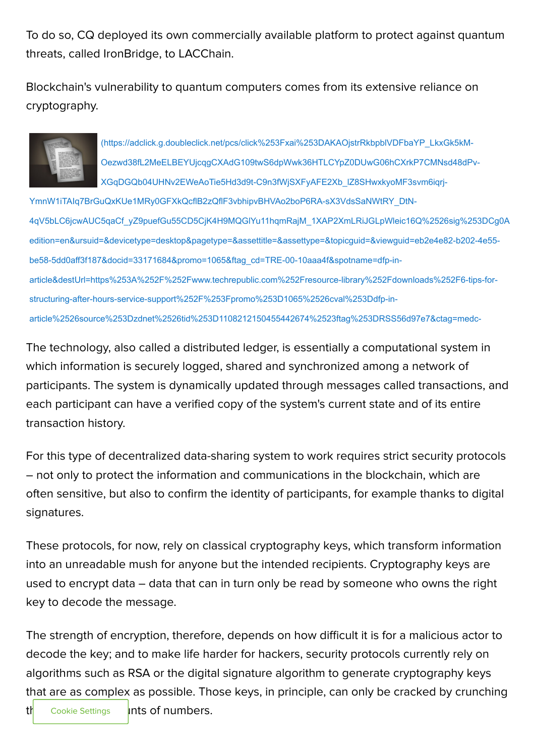To do so, CQ deployed its own commercially available platform to protect against quantum threats, called IronBridge, to LACChain.

Blockchain's vulnerability to quantum computers comes from its extensive reliance on cryptography.



(https://adclick.g.doubleclick.net/pcs/click%253Fxai%253DAKAOjstrRkbpblVDFbaYP\_LkxGk5kM-Oezwd38fL2MeELBEYUjcqgCXAdG109twS6dpWwk36HTLCYpZ0DUwG06hCXrkP7CMNsd48dPv-XGqDGQb04UHNv2EWeAoTie5Hd3d9t-C9n3fWjSXFyAFE2Xb\_lZ8SHwxkyoMF3svm6iqrj-

YmnW1iTAIq7BrGuQxKUe1MRy0GFXkQcflB2zQflF3vbhipvBHVAo2boP6RA-sX3VdsSaNWtRY\_DtN-[4qV5bLC6jcwAUC5qaCf\\_yZ9puefGu55CD5CjK4H9MQGlYu11hqmRajM\\_1XAP2XmLRiJGLpWleic16Q%2526sig%253DCg0A](https://adclick.g.doubleclick.net/pcs/click%253Fxai%253DAKAOjstrRkbpblVDFbaYP_LkxGk5kM-Oezwd38fL2MeELBEYUjcqgCXAdG109twS6dpWwk36HTLCYpZ0DUwG06hCXrkP7CMNsd48dPv-XGqDGQb04UHNv2EWeAoTie5Hd3d9t-C9n3fWjSXFyAFE2Xb_lZ8SHwxkyoMF3svm6iqrj-YmnW1iTAIq7BrGuQxKUe1MRy0GFXkQcflB2zQflF3vbhipvBHVAo2boP6RA-sX3VdsSaNWtRY_DtN-4qV5bLC6jcwAUC5qaCf_yZ9puefGu55CD5CjK4H9MQGlYu11hqmRajM_1XAP2XmLRiJGLpWleic16Q%2526sig%253DCg0ArKJSzDSiggbtArb6EAE%2526fbs_aeid%253D%255Bgw_fbsaeid%255D%2526urlfix%253D1%2526adurl%253Dhttps://lnk.techrepublic.com/redir?edition=en&ursuid=&devicetype=desktop&pagetype=&assettitle=&assettype=&topicguid=&viewguid=eb2e4e82-b202-4e55-be58-5dd0aff3f187&docid=33171684&promo=1065&ftag_cd=TRE-00-10aaa4f&spotname=dfp-in-article&destUrl=https%253A%252F%252Fwww.techrepublic.com%252Fresource-library%252Fdownloads%252F6-tips-for-structuring-after-hours-service-support%252F%253Fpromo%253D1065%2526cval%253Ddfp-in-article%2526source%253Dzdnet%2526tid%253D1108212150455442674%2523ftag%253DRSS56d97e7&ctag=medc-proxy&siteId=&rsid=cnetzdnetglobalsite&sl=&sc=us&assetguid=&q=&cval=33171684;1065&ttag=&bhid=&poolid=100&tid=1108212150455442674) edition=en&ursuid=&devicetype=desktop&pagetype=&assettitle=&assettype=&topicguid=&viewguid=eb2e4e82-b202-4e55 be58-5dd0aff3f187&docid=33171684&promo=1065&ftag\_cd=TRE-00-10aaa4f&spotname=dfp-inarticle&destUrl=https%253A%252F%252Fwww.techrepublic.com%252Fresource-library%252Fdownloads%252F6-tips-forstructuring-after-hours-service-support%252F%253Fpromo%253D1065%2526cval%253Ddfp-inarticle%2526source%253Dzdnet%2526tid%253D1108212150455442674%2523ftag%253DRSS56d97e7&ctag=medc-

The technology, also called a distributed ledger, is essentially a computational system in which information is securely logged, shared and synchronized among a network of participants. The system is dynamically updated through messages called transactions, and each participant can have a verified copy of the system's current state and of its entire transaction history.

For this type of decentralized data-sharing system to work requires strict security protocols – not only to protect the information and communications in the blockchain, which are often sensitive, but also to confirm the identity of participants, for example thanks to digital signatures.

These protocols, for now, rely on classical cryptography keys, which transform information into an unreadable mush for anyone but the intended recipients. Cryptography keys are used to encrypt data – data that can in turn only be read by someone who owns the right key to decode the message.

The strength of encryption, therefore, depends on how difficult it is for a malicious actor to decode the key; and to make life harder for hackers, security protocols currently rely on algorithms such as RSA or the digital signature algorithm to generate cryptography keys that are as complex as possible. Those keys, in principle, can only be cracked by crunching  $\frac{1}{2}$  Cookie Settings **Ints of numbers.** Cookie Settings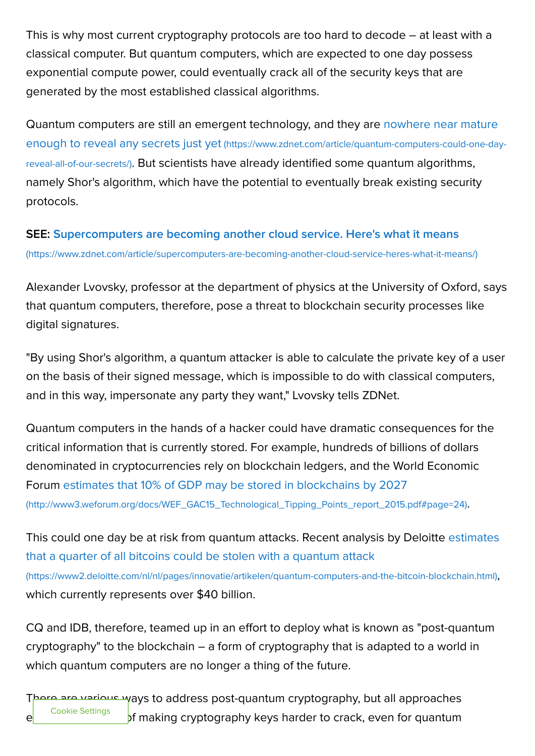This is why most current cryptography protocols are too hard to decode – at least with a classical computer. But quantum computers, which are expected to one day possess exponential compute power, could eventually crack all of the security keys that are generated by the most established classical algorithms.

[Quantum computers are still an emergent technology, and they are nowhere near mature](https://www.zdnet.com/article/quantum-computers-could-one-day-reveal-all-of-our-secrets/) enough to reveal any secrets just yet (https://www.zdnet.com/article/quantum-computers-could-one-dayreveal-all-of-our-secrets/). But scientists have already identified some quantum algorithms, namely Shor's algorithm, which have the potential to eventually break existing security protocols.

[SEE: Supercomputers are becoming another cloud service. Here's what it means](https://www.zdnet.com/article/supercomputers-are-becoming-another-cloud-service-heres-what-it-means/) (https://www.zdnet.com/article/supercomputers-are-becoming-another-cloud-service-heres-what-it-means/)

Alexander Lvovsky, professor at the department of physics at the University of Oxford, says that quantum computers, therefore, pose a threat to blockchain security processes like digital signatures.

"By using Shor's algorithm, a quantum attacker is able to calculate the private key of a user on the basis of their signed message, which is impossible to do with classical computers, and in this way, impersonate any party they want," Lvovsky tells ZDNet.

Quantum computers in the hands of a hacker could have dramatic consequences for the critical information that is currently stored. For example, hundreds of billions of dollars denominated in cryptocurrencies rely on blockchain ledgers, and the World Economic [Forum estimates that 10% of GDP may be stored in blockchains by 2027](http://www3.weforum.org/docs/WEF_GAC15_Technological_Tipping_Points_report_2015.pdf#page=24) (http://www3.weforum.org/docs/WEF\_GAC15\_Technological\_Tipping\_Points\_report\_2015.pdf#page=24).

[This could one day be at risk from quantum attacks. Recent analysis by Deloitte estimates](https://www2.deloitte.com/nl/nl/pages/innovatie/artikelen/quantum-computers-and-the-bitcoin-blockchain.html) that a quarter of all bitcoins could be stolen with a quantum attack (https://www2.deloitte.com/nl/nl/pages/innovatie/artikelen/quantum-computers-and-the-bitcoin-blockchain.html), which currently represents over \$40 billion.

CQ and IDB, therefore, teamed up in an effort to deploy what is known as "post-quantum cryptography" to the blockchain – a form of cryptography that is adapted to a world in which quantum computers are no longer a thing of the future.

There are various ways to address post-quantum cryptography, but all approaches essentially cookie Settings of making cryptography keys harder to crack, even for quantum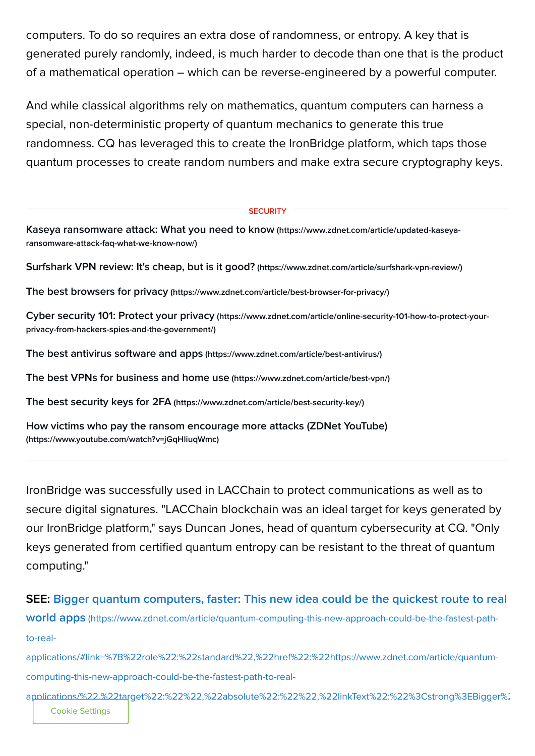computers. To do so requires an extra dose of randomness, or entropy. A key that is generated purely randomly, indeed, is much harder to decode than one that is the product of a mathematical operation – which can be reverse-engineered by a powerful computer.

And while classical algorithms rely on mathematics, quantum computers can harness a special, non-deterministic property of quantum mechanics to generate this true randomness. CQ has leveraged this to create the IronBridge platform, which taps those quantum processes to create random numbers and make extra secure cryptography keys.

#### **SECURITY**

[Kaseya ransomware attack: What you need to know](https://www.zdnet.com/article/updated-kaseya-ransomware-attack-faq-what-we-know-now/) (https://www.zdnet.com/article/updated-kaseyaransomware-attack-faq-what-we-know-now/)

[Surfshark VPN review: It's cheap, but is it good?](https://www.zdnet.com/article/surfshark-vpn-review/) (https://www.zdnet.com/article/surfshark-vpn-review/)

The best browsers for privacy [\(https://www.zdnet.com/article/best-browser-for-privacy/\)](https://www.zdnet.com/article/best-browser-for-privacy/)

Cyber security 101: Protect your privacy [\(https://www.zdnet.com/article/online-security-101-how-to-protect-your](https://www.zdnet.com/article/online-security-101-how-to-protect-your-privacy-from-hackers-spies-and-the-government/)privacy-from-hackers-spies-and-the-government/)

[The best antivirus software and apps](https://www.zdnet.com/article/best-antivirus/) (https://www.zdnet.com/article/best-antivirus/)

[The best VPNs for business and home use](https://www.zdnet.com/article/best-vpn/) (https://www.zdnet.com/article/best-vpn/)

The best security keys for 2FA [\(https://www.zdnet.com/article/best-security-key/\)](https://www.zdnet.com/article/best-security-key/)

[How victims who pay the ransom encourage more attacks \(ZDNet YouTube\)](https://www.youtube.com/watch?v=jGqHliuqWmc) (https://www.youtube.com/watch?v=jGqHliuqWmc)

IronBridge was successfully used in LACChain to protect communications as well as to secure digital signatures. "LACChain blockchain was an ideal target for keys generated by our IronBridge platform," says Duncan Jones, head of quantum cybersecurity at CQ. "Only keys generated from certified quantum entropy can be resistant to the threat of quantum computing."

# [SEE: Bigger quantum computers, faster: This new idea could be the quickest route to real](https://www.zdnet.com/article/quantum-computing-this-new-approach-could-be-the-fastest-path-to-real-applications/#link=%7B%22role%22:%22standard%22,%22href%22:%22https://www.zdnet.com/article/quantum-computing-this-new-approach-could-be-the-fastest-path-to-real-applications/%22,%22target%22:%22%22,%22absolute%22:%22%22,%22linkText%22:%22%3Cstrong%3EBigger%20quantum%20computers,%20faster:%20This%20new%20idea%20could%20be%20the%20quickest%20route%20to%20real%20world%20apps%3C/strong%3E%22%7D)

world apps (https://www.zdnet.com/article/quantum-computing-this-new-approach-could-be-the-fastest-pathto-real-

applications/#link=%7B%22role%22:%22standard%22,%22href%22:%22https://www.zdnet.com/article/quantumcomputing-this-new-approach-could-be-the-fastest-path-to-real-

applications/%22,%22target%22:%22%22,%22absolute%22:%22%22,%22linkText%22:%22%3Cstrong%3EBigger%2 Cookie Settings